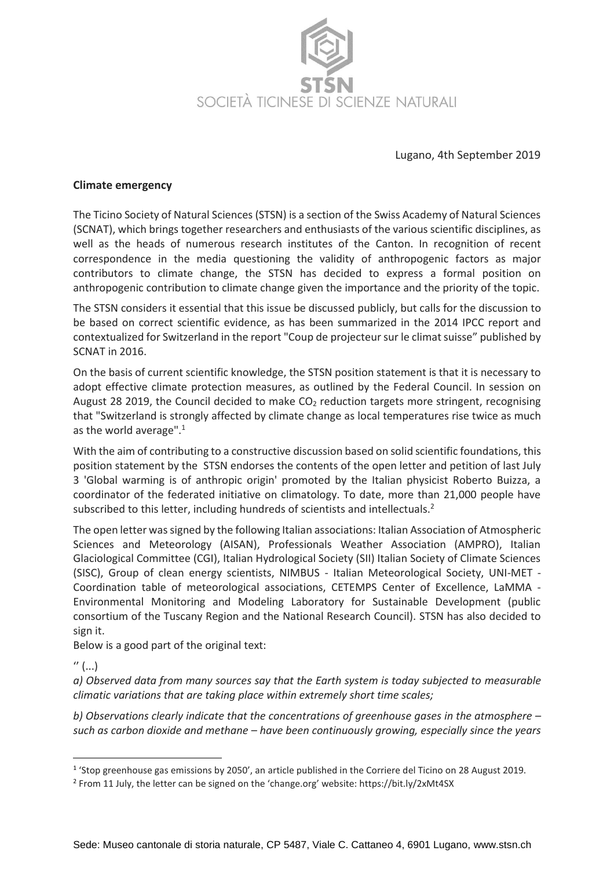

Lugano, 4th September 2019

## **Climate emergency**

The Ticino Society of Natural Sciences (STSN) is a section of the Swiss Academy of Natural Sciences (SCNAT), which brings together researchers and enthusiasts of the various scientific disciplines, as well as the heads of numerous research institutes of the Canton. In recognition of recent correspondence in the media questioning the validity of anthropogenic factors as major contributors to climate change, the STSN has decided to express a formal position on anthropogenic contribution to climate change given the importance and the priority of the topic.

The STSN considers it essential that this issue be discussed publicly, but calls for the discussion to be based on correct scientific evidence, as has been summarized in the 2014 IPCC report and contextualized for Switzerland in the report "Coup de projecteur sur le climat suisse" published by SCNAT in 2016.

On the basis of current scientific knowledge, the STSN position statement is that it is necessary to adopt effective climate protection measures, as outlined by the Federal Council. In session on August 28 2019, the Council decided to make  $CO<sub>2</sub>$  reduction targets more stringent, recognising that "Switzerland is strongly affected by climate change as local temperatures rise twice as much as the world average".<sup>1</sup>

With the aim of contributing to a constructive discussion based on solid scientific foundations, this position statement by the STSN endorses the contents of the open letter and petition of last July 3 'Global warming is of anthropic origin' promoted by the Italian physicist Roberto Buizza, a coordinator of the federated initiative on climatology. To date, more than 21,000 people have subscribed to this letter, including hundreds of scientists and intellectuals.<sup>2</sup>

The open letter was signed by the following Italian associations: Italian Association of Atmospheric Sciences and Meteorology (AISAN), Professionals Weather Association (AMPRO), Italian Glaciological Committee (CGI), Italian Hydrological Society (SII) Italian Society of Climate Sciences (SISC), Group of clean energy scientists, NIMBUS - Italian Meteorological Society, UNI-MET - Coordination table of meteorological associations, CETEMPS Center of Excellence, LaMMA - Environmental Monitoring and Modeling Laboratory for Sustainable Development (public consortium of the Tuscany Region and the National Research Council). STSN has also decided to sign it.

Below is a good part of the original text:

 $''$  (...)

l

*a) Observed data from many sources say that the Earth system is today subjected to measurable climatic variations that are taking place within extremely short time scales;*

*b) Observations clearly indicate that the concentrations of greenhouse gases in the atmosphere – such as carbon dioxide and methane – have been continuously growing, especially since the years* 

<sup>&</sup>lt;sup>1</sup> 'Stop greenhouse gas emissions by 2050', an article published in the Corriere del Ticino on 28 August 2019.

<sup>2</sup> From 11 July, the letter can be signed on the 'change.org' website: https://bit.ly/2xMt4SX